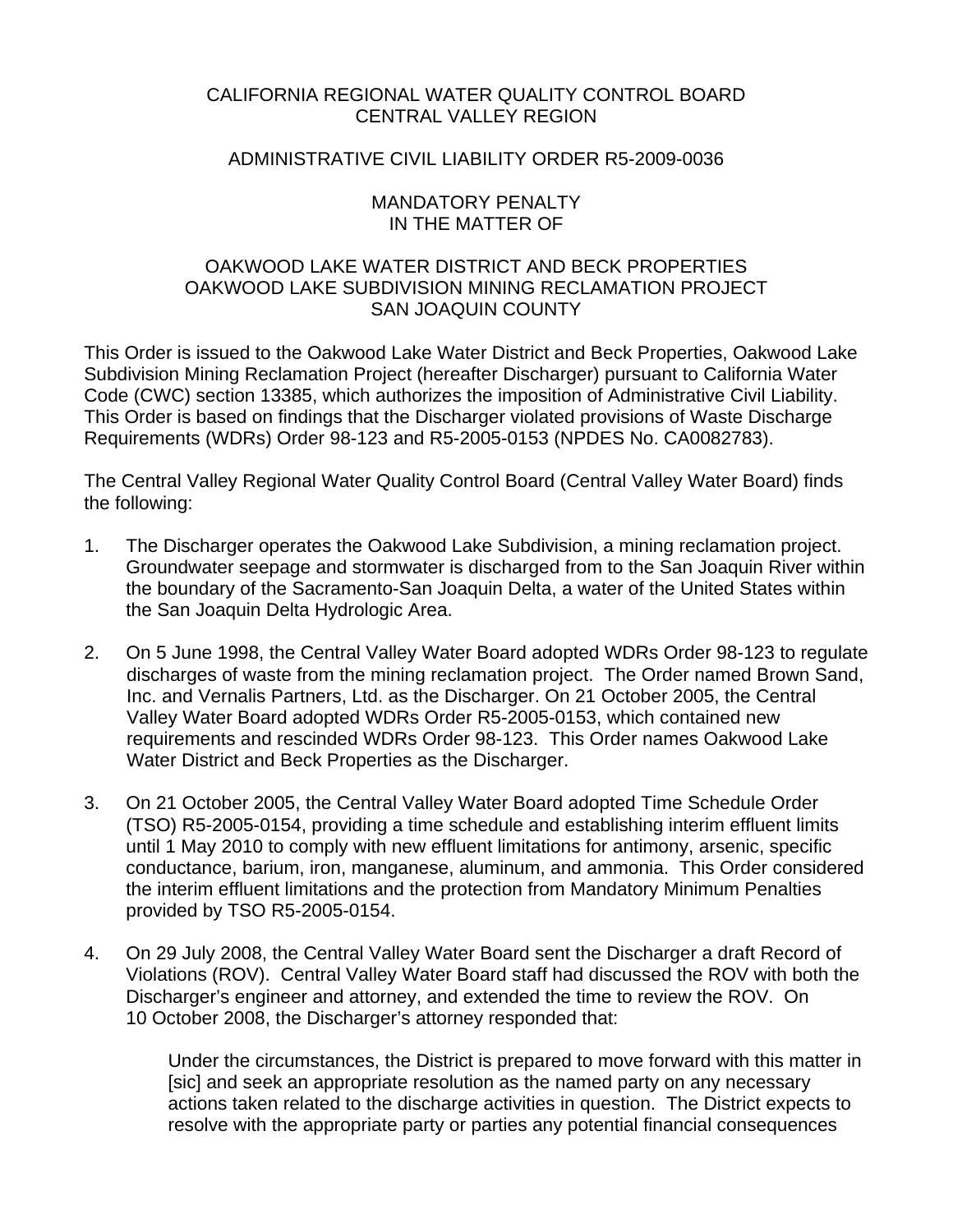# CALIFORNIA REGIONAL WATER QUALITY CONTROL BOARD CENTRAL VALLEY REGION

## ADMINISTRATIVE CIVIL LIABILITY ORDER R5-2009-0036

#### MANDATORY PENALTY IN THE MATTER OF

# OAKWOOD LAKE WATER DISTRICT AND BECK PROPERTIES OAKWOOD LAKE SUBDIVISION MINING RECLAMATION PROJECT SAN JOAQUIN COUNTY

This Order is issued to the Oakwood Lake Water District and Beck Properties, Oakwood Lake Subdivision Mining Reclamation Project (hereafter Discharger) pursuant to California Water Code (CWC) section 13385, which authorizes the imposition of Administrative Civil Liability. This Order is based on findings that the Discharger violated provisions of Waste Discharge Requirements (WDRs) Order 98-123 and R5-2005-0153 (NPDES No. CA0082783).

The Central Valley Regional Water Quality Control Board (Central Valley Water Board) finds the following:

- 1. The Discharger operates the Oakwood Lake Subdivision, a mining reclamation project. Groundwater seepage and stormwater is discharged from to the San Joaquin River within the boundary of the Sacramento-San Joaquin Delta, a water of the United States within the San Joaquin Delta Hydrologic Area.
- 2. On 5 June 1998, the Central Valley Water Board adopted WDRs Order 98-123 to regulate discharges of waste from the mining reclamation project. The Order named Brown Sand, Inc. and Vernalis Partners, Ltd. as the Discharger. On 21 October 2005, the Central Valley Water Board adopted WDRs Order R5-2005-0153, which contained new requirements and rescinded WDRs Order 98-123. This Order names Oakwood Lake Water District and Beck Properties as the Discharger.
- 3. On 21 October 2005, the Central Valley Water Board adopted Time Schedule Order (TSO) R5-2005-0154, providing a time schedule and establishing interim effluent limits until 1 May 2010 to comply with new effluent limitations for antimony, arsenic, specific conductance, barium, iron, manganese, aluminum, and ammonia. This Order considered the interim effluent limitations and the protection from Mandatory Minimum Penalties provided by TSO R5-2005-0154.
- 4. On 29 July 2008, the Central Valley Water Board sent the Discharger a draft Record of Violations (ROV). Central Valley Water Board staff had discussed the ROV with both the Discharger's engineer and attorney, and extended the time to review the ROV. On 10 October 2008, the Discharger's attorney responded that:

Under the circumstances, the District is prepared to move forward with this matter in [sic] and seek an appropriate resolution as the named party on any necessary actions taken related to the discharge activities in question. The District expects to resolve with the appropriate party or parties any potential financial consequences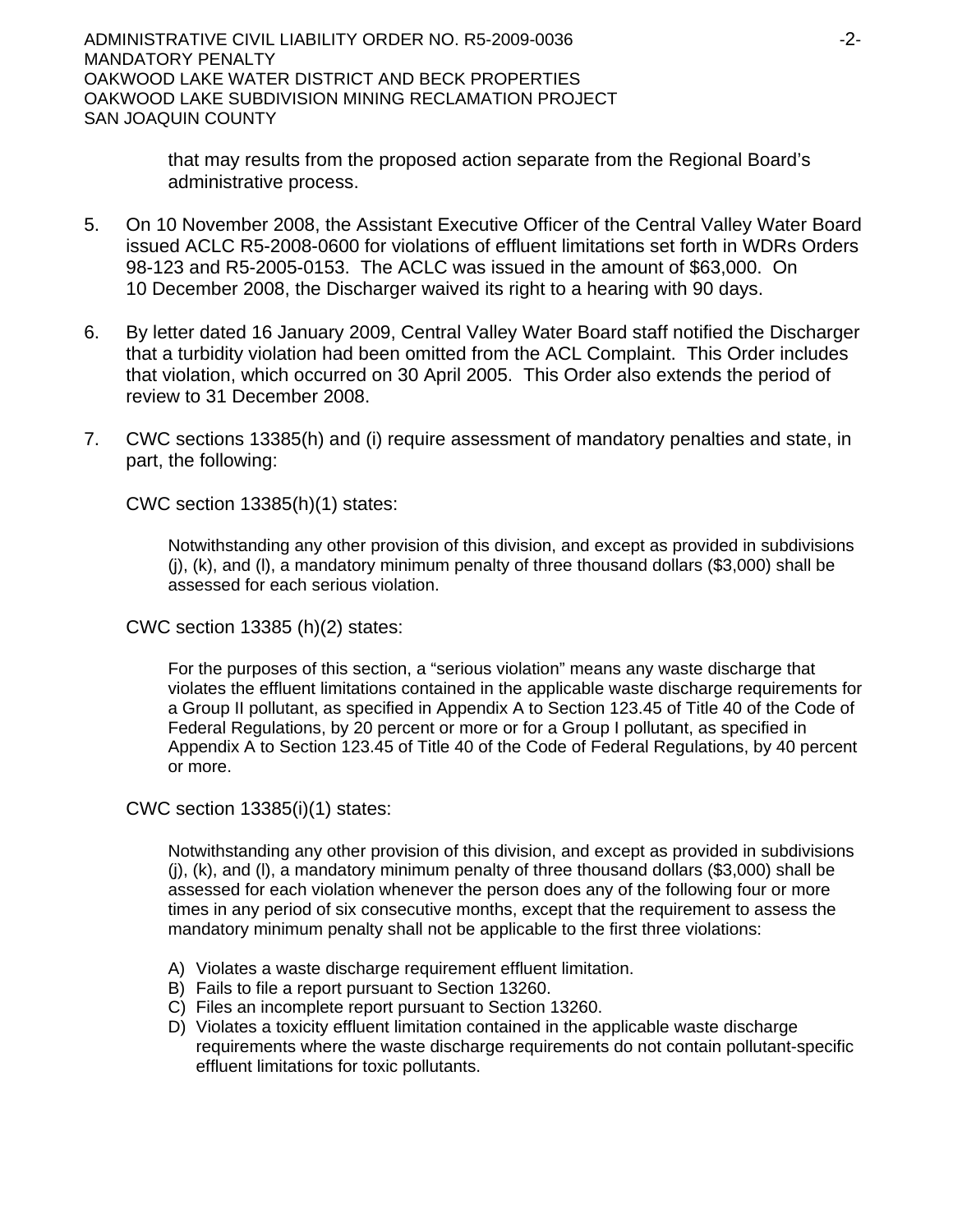ADMINISTRATIVE CIVIL LIABILITY ORDER NO. R5-2009-0036 -2- MANDATORY PENALTY OAKWOOD LAKE WATER DISTRICT AND BECK PROPERTIES OAKWOOD LAKE SUBDIVISION MINING RECLAMATION PROJECT SAN JOAQUIN COUNTY

> that may results from the proposed action separate from the Regional Board's administrative process.

- 5. On 10 November 2008, the Assistant Executive Officer of the Central Valley Water Board issued ACLC R5-2008-0600 for violations of effluent limitations set forth in WDRs Orders 98-123 and R5-2005-0153. The ACLC was issued in the amount of \$63,000. On 10 December 2008, the Discharger waived its right to a hearing with 90 days.
- 6. By letter dated 16 January 2009, Central Valley Water Board staff notified the Discharger that a turbidity violation had been omitted from the ACL Complaint. This Order includes that violation, which occurred on 30 April 2005. This Order also extends the period of review to 31 December 2008.
- 7. CWC sections 13385(h) and (i) require assessment of mandatory penalties and state, in part, the following:

CWC section 13385(h)(1) states:

Notwithstanding any other provision of this division, and except as provided in subdivisions (j), (k), and (l), a mandatory minimum penalty of three thousand dollars (\$3,000) shall be assessed for each serious violation.

CWC section 13385 (h)(2) states:

For the purposes of this section, a "serious violation" means any waste discharge that violates the effluent limitations contained in the applicable waste discharge requirements for a Group II pollutant, as specified in Appendix A to Section 123.45 of Title 40 of the Code of Federal Regulations, by 20 percent or more or for a Group I pollutant, as specified in Appendix A to Section 123.45 of Title 40 of the Code of Federal Regulations, by 40 percent or more.

CWC section 13385(i)(1) states:

Notwithstanding any other provision of this division, and except as provided in subdivisions (j), (k), and (l), a mandatory minimum penalty of three thousand dollars (\$3,000) shall be assessed for each violation whenever the person does any of the following four or more times in any period of six consecutive months, except that the requirement to assess the mandatory minimum penalty shall not be applicable to the first three violations:

- A) Violates a waste discharge requirement effluent limitation.
- B) Fails to file a report pursuant to Section 13260.
- C) Files an incomplete report pursuant to Section 13260.
- D) Violates a toxicity effluent limitation contained in the applicable waste discharge requirements where the waste discharge requirements do not contain pollutant-specific effluent limitations for toxic pollutants.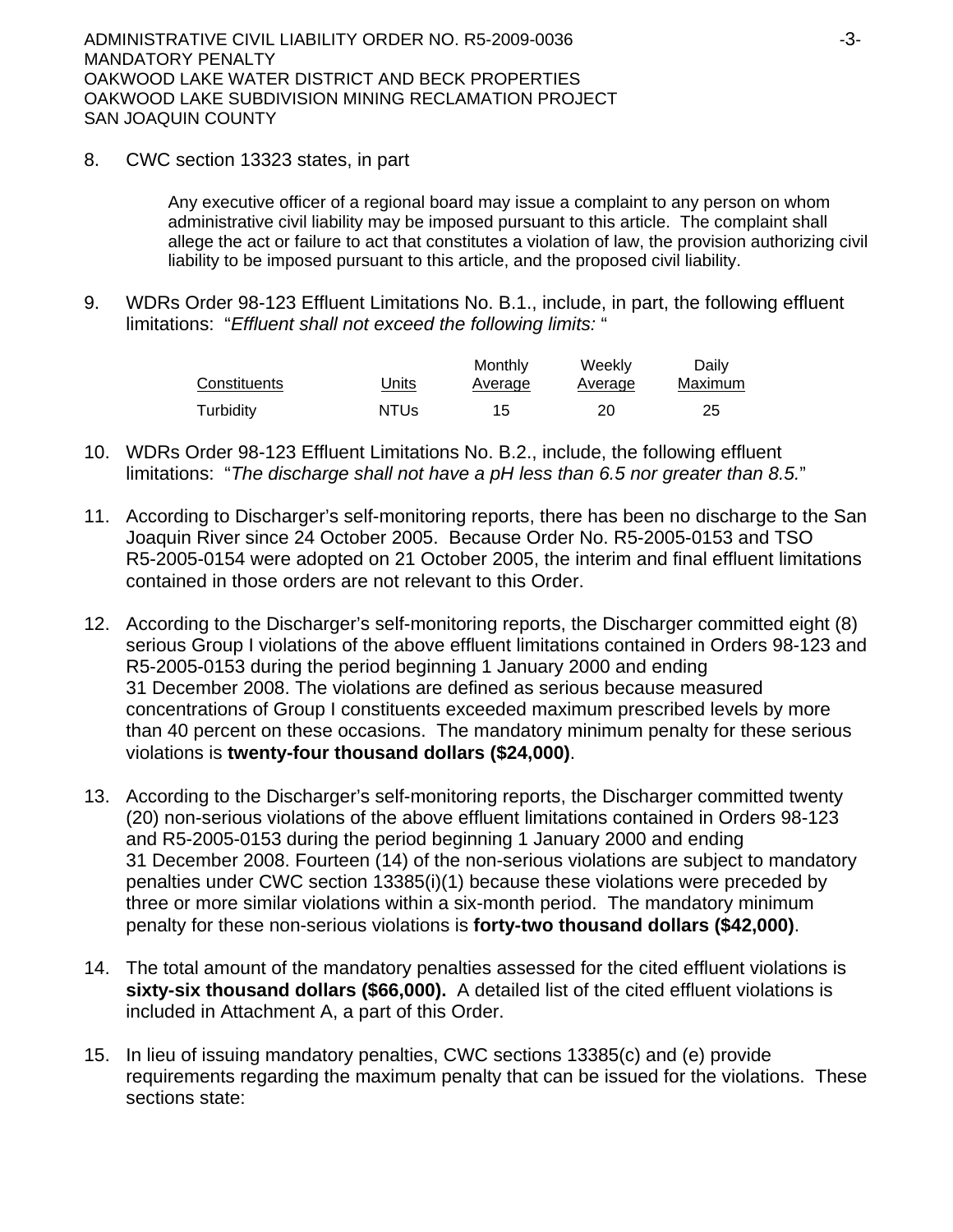8. CWC section 13323 states, in part

Any executive officer of a regional board may issue a complaint to any person on whom administrative civil liability may be imposed pursuant to this article. The complaint shall allege the act or failure to act that constitutes a violation of law, the provision authorizing civil liability to be imposed pursuant to this article, and the proposed civil liability.

9. WDRs Order 98-123 Effluent Limitations No. B.1., include, in part, the following effluent limitations: "*Effluent shall not exceed the following limits:* "

| Constituents | Units       | Monthly<br>Average | Weekly<br>Average | Daily<br>Maximum |
|--------------|-------------|--------------------|-------------------|------------------|
| Turbidity    | <b>NTUs</b> | 15                 | 20                | 25               |

- 10. WDRs Order 98-123 Effluent Limitations No. B.2., include, the following effluent limitations: "*The discharge shall not have a pH less than 6.5 nor greater than 8.5.*"
- 11. According to Discharger's self-monitoring reports, there has been no discharge to the San Joaquin River since 24 October 2005. Because Order No. R5-2005-0153 and TSO R5-2005-0154 were adopted on 21 October 2005, the interim and final effluent limitations contained in those orders are not relevant to this Order.
- 12. According to the Discharger's self-monitoring reports, the Discharger committed eight (8) serious Group I violations of the above effluent limitations contained in Orders 98-123 and R5-2005-0153 during the period beginning 1 January 2000 and ending 31 December 2008. The violations are defined as serious because measured concentrations of Group I constituents exceeded maximum prescribed levels by more than 40 percent on these occasions. The mandatory minimum penalty for these serious violations is **twenty-four thousand dollars (\$24,000)**.
- 13. According to the Discharger's self-monitoring reports, the Discharger committed twenty (20) non-serious violations of the above effluent limitations contained in Orders 98-123 and R5-2005-0153 during the period beginning 1 January 2000 and ending 31 December 2008. Fourteen (14) of the non-serious violations are subject to mandatory penalties under CWC section 13385(i)(1) because these violations were preceded by three or more similar violations within a six-month period. The mandatory minimum penalty for these non-serious violations is **forty-two thousand dollars (\$42,000)**.
- 14. The total amount of the mandatory penalties assessed for the cited effluent violations is **sixty-six thousand dollars (\$66,000).** A detailed list of the cited effluent violations is included in Attachment A, a part of this Order.
- 15. In lieu of issuing mandatory penalties, CWC sections 13385(c) and (e) provide requirements regarding the maximum penalty that can be issued for the violations. These sections state: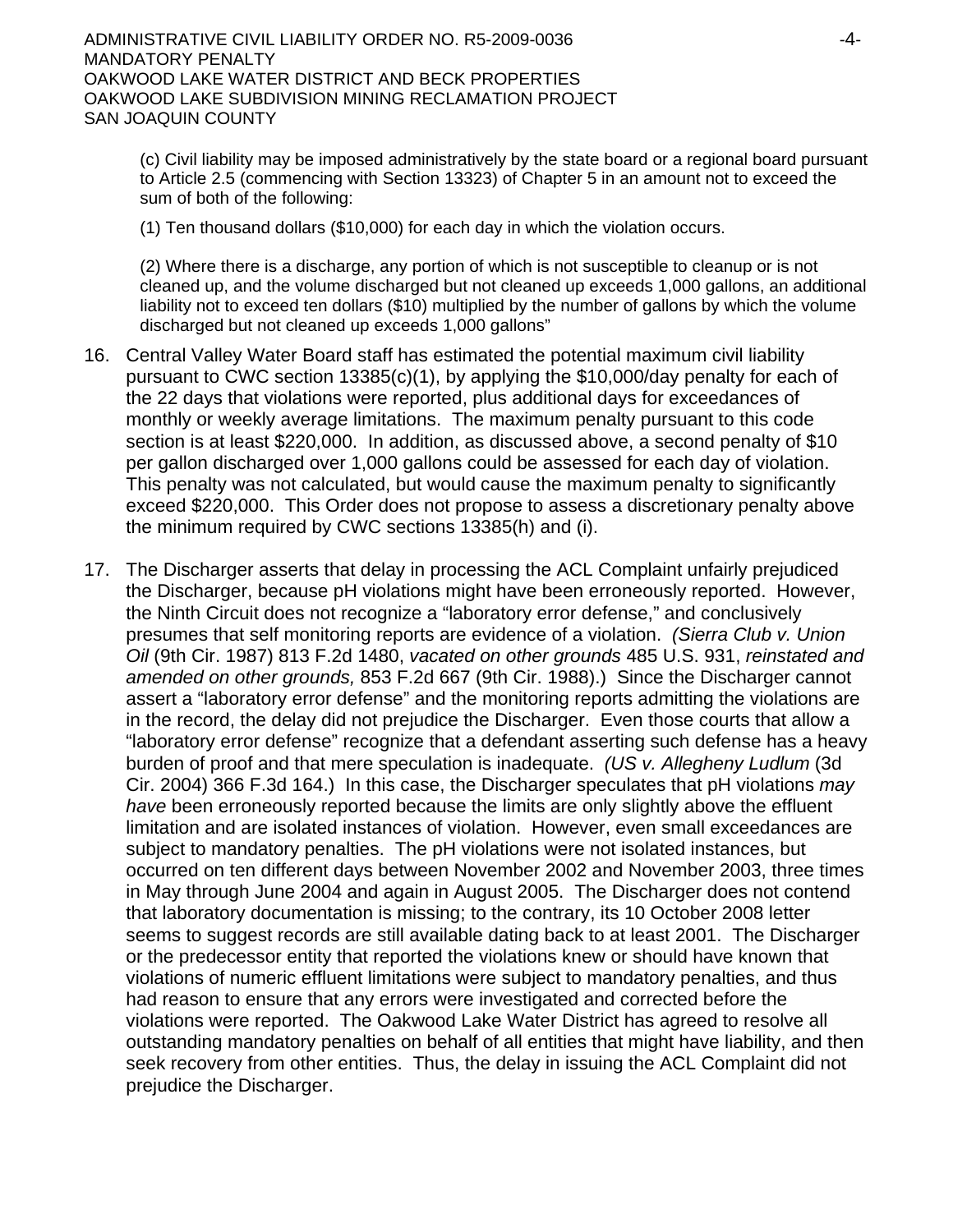(c) Civil liability may be imposed administratively by the state board or a regional board pursuant to Article 2.5 (commencing with Section 13323) of Chapter 5 in an amount not to exceed the sum of both of the following:

(1) Ten thousand dollars (\$10,000) for each day in which the violation occurs.

(2) Where there is a discharge, any portion of which is not susceptible to cleanup or is not cleaned up, and the volume discharged but not cleaned up exceeds 1,000 gallons, an additional liability not to exceed ten dollars (\$10) multiplied by the number of gallons by which the volume discharged but not cleaned up exceeds 1,000 gallons"

- 16. Central Valley Water Board staff has estimated the potential maximum civil liability pursuant to CWC section 13385(c)(1), by applying the \$10,000/day penalty for each of the 22 days that violations were reported, plus additional days for exceedances of monthly or weekly average limitations. The maximum penalty pursuant to this code section is at least \$220,000. In addition, as discussed above, a second penalty of \$10 per gallon discharged over 1,000 gallons could be assessed for each day of violation. This penalty was not calculated, but would cause the maximum penalty to significantly exceed \$220,000. This Order does not propose to assess a discretionary penalty above the minimum required by CWC sections 13385(h) and (i).
- 17. The Discharger asserts that delay in processing the ACL Complaint unfairly prejudiced the Discharger, because pH violations might have been erroneously reported. However, the Ninth Circuit does not recognize a "laboratory error defense," and conclusively presumes that self monitoring reports are evidence of a violation. *(Sierra Club v. Union Oil* (9th Cir. 1987) 813 F.2d 1480, *vacated on other grounds* 485 U.S. 931, *reinstated and amended on other grounds,* 853 F.2d 667 (9th Cir. 1988).) Since the Discharger cannot assert a "laboratory error defense" and the monitoring reports admitting the violations are in the record, the delay did not prejudice the Discharger. Even those courts that allow a "laboratory error defense" recognize that a defendant asserting such defense has a heavy burden of proof and that mere speculation is inadequate. *(US v. Allegheny Ludlum* (3d Cir. 2004) 366 F.3d 164.) In this case, the Discharger speculates that pH violations *may have* been erroneously reported because the limits are only slightly above the effluent limitation and are isolated instances of violation. However, even small exceedances are subject to mandatory penalties. The pH violations were not isolated instances, but occurred on ten different days between November 2002 and November 2003, three times in May through June 2004 and again in August 2005. The Discharger does not contend that laboratory documentation is missing; to the contrary, its 10 October 2008 letter seems to suggest records are still available dating back to at least 2001. The Discharger or the predecessor entity that reported the violations knew or should have known that violations of numeric effluent limitations were subject to mandatory penalties, and thus had reason to ensure that any errors were investigated and corrected before the violations were reported. The Oakwood Lake Water District has agreed to resolve all outstanding mandatory penalties on behalf of all entities that might have liability, and then seek recovery from other entities. Thus, the delay in issuing the ACL Complaint did not prejudice the Discharger.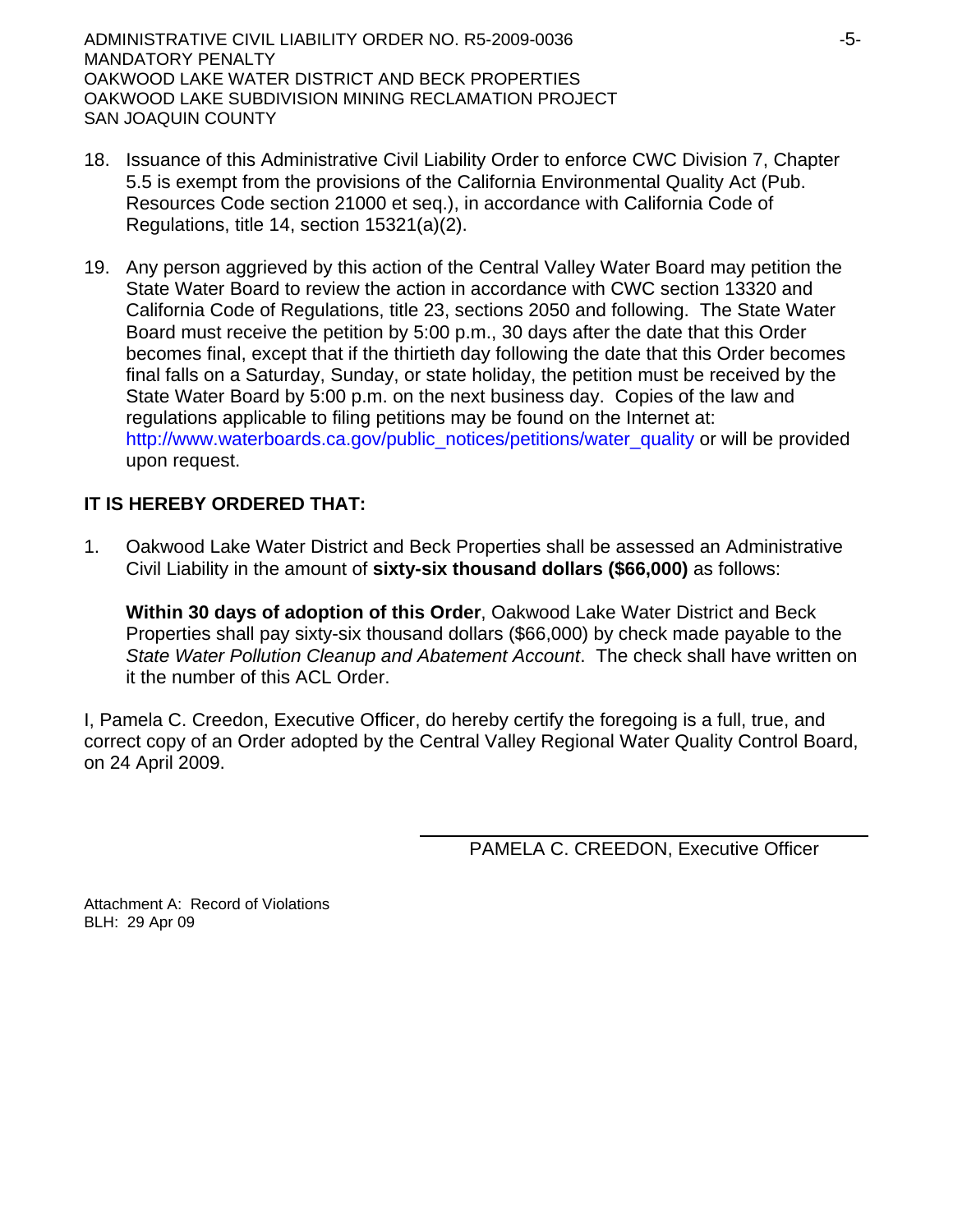ADMINISTRATIVE CIVIL LIABILITY ORDER NO. R5-2009-0036 -5- MANDATORY PENALTY OAKWOOD LAKE WATER DISTRICT AND BECK PROPERTIES OAKWOOD LAKE SUBDIVISION MINING RECLAMATION PROJECT SAN JOAQUIN COUNTY

- 18. Issuance of this Administrative Civil Liability Order to enforce CWC Division 7, Chapter 5.5 is exempt from the provisions of the California Environmental Quality Act (Pub. Resources Code section 21000 et seq.), in accordance with California Code of Regulations, title 14, section 15321(a)(2).
- 19. Any person aggrieved by this action of the Central Valley Water Board may petition the State Water Board to review the action in accordance with CWC section 13320 and California Code of Regulations, title 23, sections 2050 and following. The State Water Board must receive the petition by 5:00 p.m., 30 days after the date that this Order becomes final, except that if the thirtieth day following the date that this Order becomes final falls on a Saturday, Sunday, or state holiday, the petition must be received by the State Water Board by 5:00 p.m. on the next business day. Copies of the law and regulations applicable to filing petitions may be found on the Internet at: http://www.waterboards.ca.gov/public\_notices/petitions/water\_quality or will be provided upon request.

# **IT IS HEREBY ORDERED THAT:**

1. Oakwood Lake Water District and Beck Properties shall be assessed an Administrative Civil Liability in the amount of **sixty-six thousand dollars (\$66,000)** as follows:

**Within 30 days of adoption of this Order**, Oakwood Lake Water District and Beck Properties shall pay sixty-six thousand dollars (\$66,000) by check made payable to the *State Water Pollution Cleanup and Abatement Account*. The check shall have written on it the number of this ACL Order.

I, Pamela C. Creedon, Executive Officer, do hereby certify the foregoing is a full, true, and correct copy of an Order adopted by the Central Valley Regional Water Quality Control Board, on 24 April 2009.

PAMELA C. CREEDON, Executive Officer

Attachment A: Record of Violations BLH: 29 Apr 09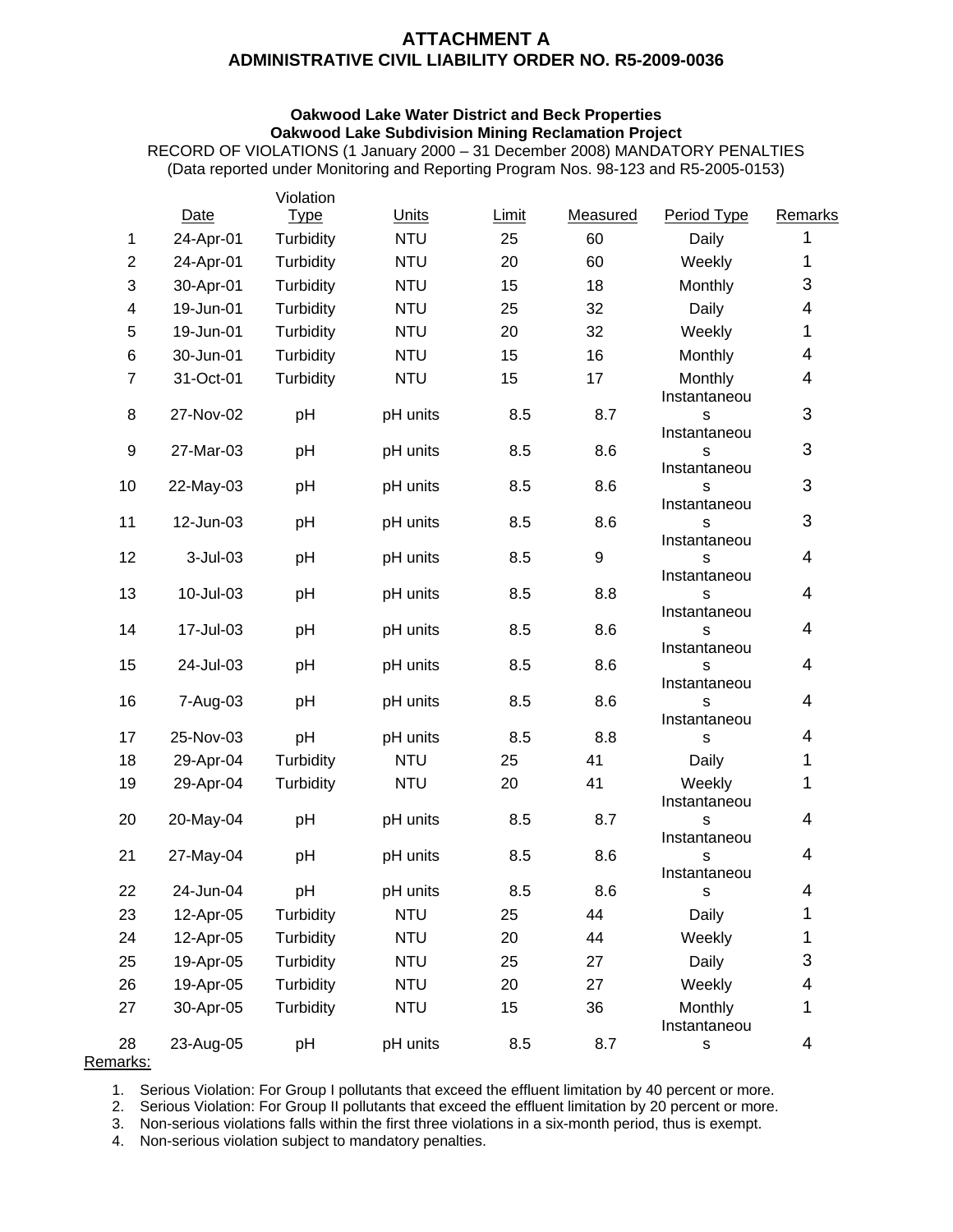# **ATTACHMENT A ADMINISTRATIVE CIVIL LIABILITY ORDER NO. R5-2009-0036**

#### **Oakwood Lake Water District and Beck Properties Oakwood Lake Subdivision Mining Reclamation Project**

RECORD OF VIOLATIONS (1 January 2000 – 31 December 2008) MANDATORY PENALTIES (Data reported under Monitoring and Reporting Program Nos. 98-123 and R5-2005-0153)

|                |                        | Violation              |                      |            |            |                                 |                         |
|----------------|------------------------|------------------------|----------------------|------------|------------|---------------------------------|-------------------------|
|                | Date                   | <b>Type</b>            | Units                | Limit      | Measured   | Period Type                     | Remarks                 |
| $\mathbf{1}$   | 24-Apr-01              | Turbidity              | <b>NTU</b>           | 25         | 60         | Daily                           | 1                       |
| $\overline{2}$ | 24-Apr-01              | Turbidity              | <b>NTU</b>           | 20         | 60         | Weekly                          | 1                       |
| 3              | 30-Apr-01              | Turbidity              | <b>NTU</b>           | 15         | 18         | Monthly                         | 3                       |
| 4              | 19-Jun-01              | Turbidity              | <b>NTU</b>           | 25         | 32         | Daily                           | 4                       |
| 5              | 19-Jun-01              | Turbidity              | <b>NTU</b>           | 20         | 32         | Weekly                          | 1                       |
| 6              | 30-Jun-01              | Turbidity              | <b>NTU</b>           | 15         | 16         | Monthly                         | 4                       |
| $\overline{7}$ | 31-Oct-01              | Turbidity              | <b>NTU</b>           | 15         | 17         | Monthly<br>Instantaneou         | 4                       |
| 8              | 27-Nov-02              | pH                     | pH units             | 8.5        | 8.7        | s<br>Instantaneou               | 3                       |
| 9              | 27-Mar-03              | pH                     | pH units             | 8.5        | 8.6        | s<br>Instantaneou               | 3                       |
| 10             | 22-May-03              | pH                     | pH units             | 8.5        | 8.6        | s<br>Instantaneou               | 3                       |
| 11             | 12-Jun-03              | pH                     | pH units             | 8.5        | 8.6        | s<br>Instantaneou               | 3                       |
| 12             | 3-Jul-03               | pH                     | pH units             | 8.5        | 9          | S<br>Instantaneou               | $\overline{4}$          |
| 13             | 10-Jul-03              | pH                     | pH units             | 8.5        | 8.8        | S<br>Instantaneou               | 4<br>4                  |
| 14<br>15       | 17-Jul-03<br>24-Jul-03 | pH<br>pH               | pH units<br>pH units | 8.5<br>8.5 | 8.6<br>8.6 | S<br>Instantaneou<br>S          | 4                       |
| 16             |                        |                        |                      | 8.5        | 8.6        | Instantaneou                    | $\overline{4}$          |
| 17             | 7-Aug-03<br>25-Nov-03  | pH<br>pH               | pH units<br>pH units | 8.5        | 8.8        | S<br>Instantaneou<br>s          | 4                       |
|                |                        |                        | <b>NTU</b>           |            | 41         |                                 | 1                       |
| 18<br>19       | 29-Apr-04<br>29-Apr-04 | Turbidity<br>Turbidity | <b>NTU</b>           | 25<br>20   | 41         | Daily<br>Weekly<br>Instantaneou | 1                       |
| 20             | 20-May-04              | pH                     | pH units             | 8.5        | 8.7        | s<br>Instantaneou               | 4                       |
| 21             | 27-May-04              | pH                     | pH units             | 8.5        | 8.6        | S<br>Instantaneou               | 4                       |
| 22             | 24-Jun-04              | pH                     | pH units             | 8.5        | 8.6        | S                               | 4                       |
| 23             | 12-Apr-05              | Turbidity              | <b>NTU</b>           | 25         | 44         | Daily                           | 1                       |
| 24             | 12-Apr-05              | Turbidity              | <b>NTU</b>           | 20         | 44         | Weekly                          | 1                       |
| 25             | 19-Apr-05              | Turbidity              | <b>NTU</b>           | 25         | 27         | Daily                           | 3                       |
| 26             | 19-Apr-05              | Turbidity              | <b>NTU</b>           | 20         | 27         | Weekly                          | 4                       |
| 27             | 30-Apr-05              | Turbidity              | <b>NTU</b>           | 15         | 36         | Monthly<br>Instantaneou         | 1                       |
| 28             | 23-Aug-05              | pH                     | pH units             | 8.5        | 8.7        | S                               | $\overline{\mathbf{4}}$ |

Remarks:

1. Serious Violation: For Group I pollutants that exceed the effluent limitation by 40 percent or more.

2. Serious Violation: For Group II pollutants that exceed the effluent limitation by 20 percent or more.

3. Non-serious violations falls within the first three violations in a six-month period, thus is exempt.

4. Non-serious violation subject to mandatory penalties.